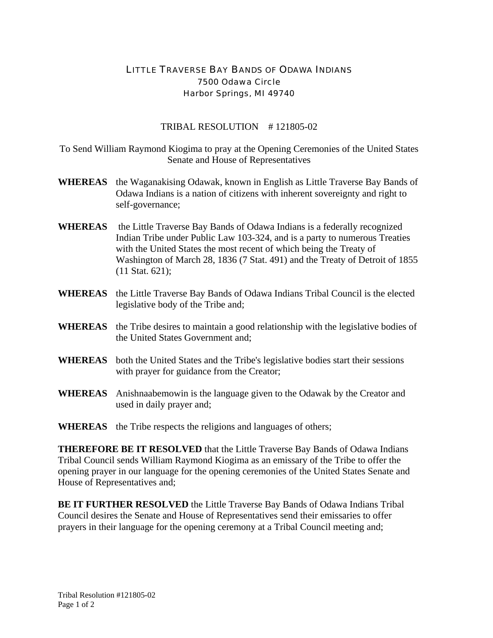## LITTLE TRAVERSE BAY BANDS OF ODAWA INDIANS 7500 Odawa Circle Harbor Springs, MI 49740

## TRIBAL RESOLUTION # 121805-02

To Send William Raymond Kiogima to pray at the Opening Ceremonies of the United States Senate and House of Representatives

- **WHEREAS** the Waganakising Odawak, known in English as Little Traverse Bay Bands of Odawa Indians is a nation of citizens with inherent sovereignty and right to self-governance;
- **WHEREAS** the Little Traverse Bay Bands of Odawa Indians is a federally recognized Indian Tribe under Public Law 103-324, and is a party to numerous Treaties with the United States the most recent of which being the Treaty of Washington of March 28, 1836 (7 Stat. 491) and the Treaty of Detroit of 1855 (11 Stat. 621);
- **WHEREAS** the Little Traverse Bay Bands of Odawa Indians Tribal Council is the elected legislative body of the Tribe and;
- **WHEREAS** the Tribe desires to maintain a good relationship with the legislative bodies of the United States Government and;
- **WHEREAS** both the United States and the Tribe's legislative bodies start their sessions with prayer for guidance from the Creator;
- **WHEREAS** Anishnaabemowin is the language given to the Odawak by the Creator and used in daily prayer and;
- **WHEREAS** the Tribe respects the religions and languages of others;

**THEREFORE BE IT RESOLVED** that the Little Traverse Bay Bands of Odawa Indians Tribal Council sends William Raymond Kiogima as an emissary of the Tribe to offer the opening prayer in our language for the opening ceremonies of the United States Senate and House of Representatives and;

**BE IT FURTHER RESOLVED** the Little Traverse Bay Bands of Odawa Indians Tribal Council desires the Senate and House of Representatives send their emissaries to offer prayers in their language for the opening ceremony at a Tribal Council meeting and;